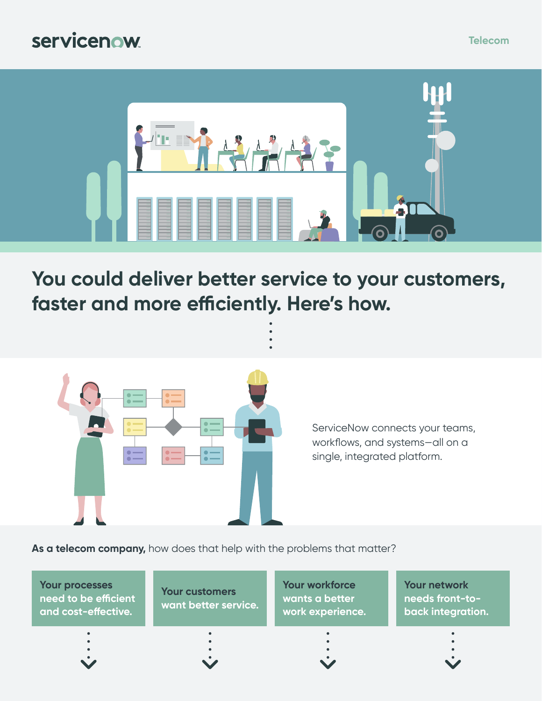#### servicenow



**You could deliver better service to your customers, faster and more efficiently. Here's how.**



ServiceNow connects your teams, workflows, and systems—all on a single, integrated platform.

**As a telecom company,** how does that help with the problems that matter?

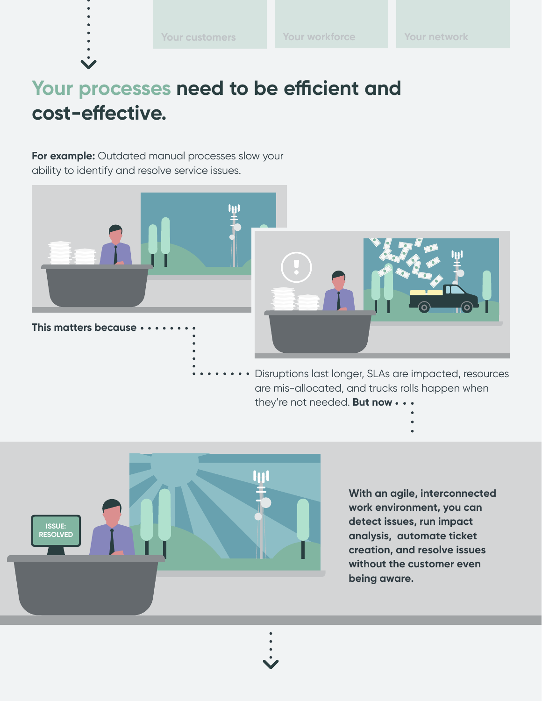# <span id="page-1-0"></span>**Your processes need to be efficient and cost-effective.**

**For example:** Outdated manual processes slow your ability to identify and resolve service issues.



are mis-allocated, and trucks rolls happen when they're not needed. **But now**



**With an agile, interconnected work environment, you can detect issues, run impact analysis, automate ticket creation, and resolve issues without the customer even being aware.**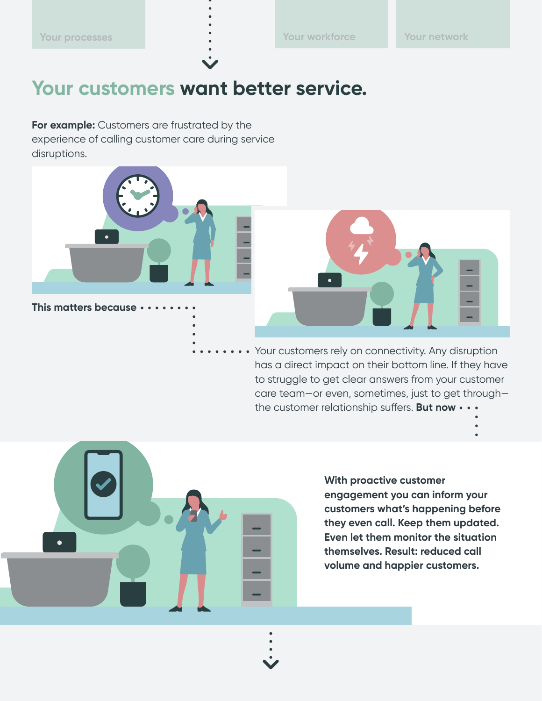### <span id="page-2-0"></span>**Your customers want better service.**

**For example:** Customers are frustrated by the experience of calling customer care during service disruptions.



**This matters because**



Your customers rely on connectivity. Any disruption has a direct impact on their bottom line. If they have to struggle to get clear answers from your customer care team—or even, sometimes, just to get through the customer relationship suffers. **But now**

- 
- 

**With proactive customer engagement you can inform your customers what's happening before they even call. Keep them updated. Even let them monitor the situation themselves. Result: reduced call volume and happier customers.**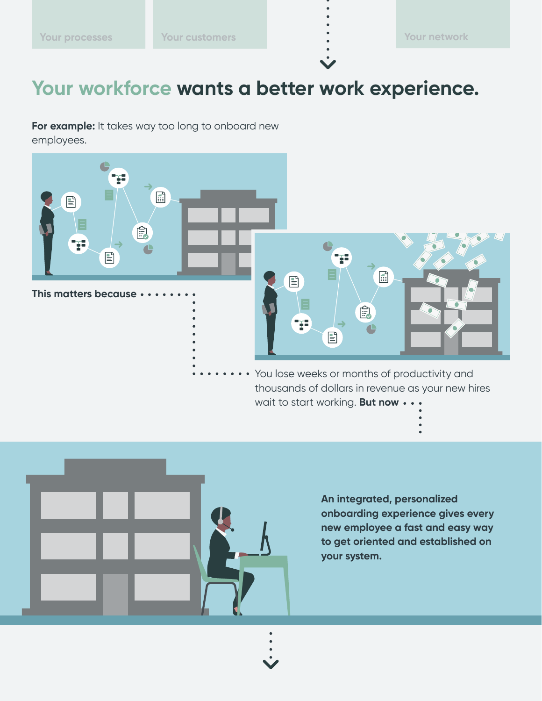# <span id="page-3-0"></span>**Your workforce wants a better work experience.**

**For example:** It takes way too long to onboard new employees.





**An integrated, personalized onboarding experience gives every new employee a fast and easy way to get oriented and established on your system.**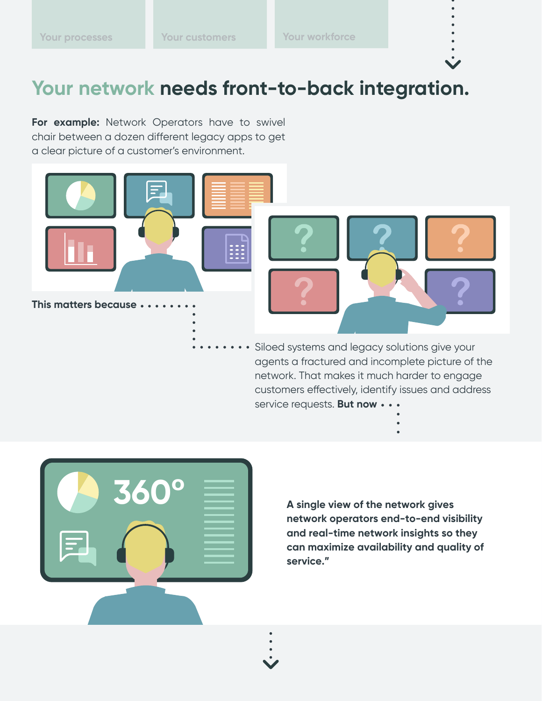### <span id="page-4-0"></span>**Your network needs front-to-back integration.**

**For example:** Network Operators have to swivel chair between a dozen different legacy apps to get a clear picture of a customer's environment.



network. That makes it much harder to engage customers effectively, identify issues and address service requests. But now  $\cdots$ 



**A single view of the network gives network operators end-to-end visibility and real-time network insights so they can maximize availability and quality of service."**